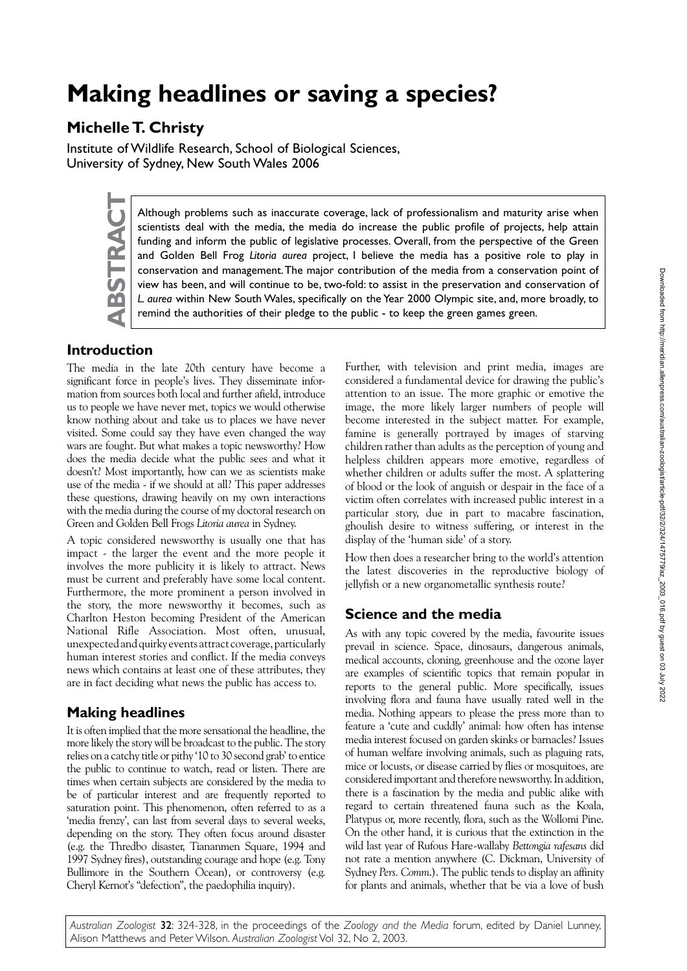# **Making headlines or saving a species?**

## **Michelle T. Christy**

Institute of Wildlife Research, School of Biological Sciences, University of Sydney, New South Wales 2006



Although problems such as inaccurate coverage, lack of professionalism and maturity arise when scientists deal with the media, the media do increase the public profile of projects, help attain funding and inform the public scientists deal with the media, the media do increase the public profile of projects, help attain funding and inform the public of legislative processes. Overall, from the perspective of the Green and Golden Bell Frog *Litoria aurea* project, I believe the media has a positive role to play in conservation and management. The major contribution of the media from a conservation point of view has been, and will continue to be, two-fold: to assist in the preservation and conservation of *L. aurea* within New South Wales, specifically on the Year 2000 Olympic site, and, more broadly, to remind the authorities of their pledge to the public - to keep the green games green.

## **Introduction**

The media in the late 20th century have become a significant force in people's lives. They disseminate information from sources both local and further afield, introduce us to people we have never met, topics we would otherwise know nothing about and take us to places we have never visited. Some could say they have even changed the way wars are fought. But what makes a topic newsworthy? How does the media decide what the public sees and what it doesn't? Most importantly, how can we as scientists make use of the media - if we should at all? This paper addresses these questions, drawing heavily on my own interactions with the media during the course of my doctoral research on Green and Golden Bell Frogs *Litoria aurea* in Sydney.

A topic considered newsworthy is usually one that has impact - the larger the event and the more people it involves the more publicity it is likely to attract. News must be current and preferably have some local content. Furthermore, the more prominent a person involved in the story, the more newsworthy it becomes, such as Charlton Heston becoming President of the American National Rifle Association. Most often, unusual, unexpected and quirky events attract coverage, particularly human interest stories and conflict. If the media conveys news which contains at least one of these attributes, they are in fact deciding what news the public has access to.

## **Making headlines**

It is often implied that the more sensational the headline, the more likely the story will be broadcast to the public. The story relies on a catchy title or pithy '10 to 30 second grab' to entice the public to continue to watch, read or listen. There are times when certain subjects are considered by the media to be of particular interest and are frequently reported to saturation point. This phenomenon, often referred to as a 'media frenzy', can last from several days to several weeks, depending on the story. They often focus around disaster (e.g. the Thredbo disaster, Tiananmen Square, 1994 and 1997 Sydney fires), outstanding courage and hope (e.g. Tony Bullimore in the Southern Ocean), or controversy (e.g. Cheryl Kernot's "defection", the paedophilia inquiry).

Further, with television and print media, images are considered a fundamental device for drawing the public's attention to an issue. The more graphic or emotive the image, the more likely larger numbers of people will become interested in the subject matter. For example, famine is generally portrayed by images of starving children rather than adults as the perception of young and helpless children appears more emotive, regardless of whether children or adults suffer the most. A splattering of blood or the look of anguish or despair in the face of a victim often correlates with increased public interest in a particular story, due in part to macabre fascination, ghoulish desire to witness suffering, or interest in the display of the 'human side' of a story.

How then does a researcher bring to the world's attention the latest discoveries in the reproductive biology of jellyfish or a new organometallic synthesis route?

## **Science and the media**

As with any topic covered by the media, favourite issues prevail in science. Space, dinosaurs, dangerous animals, medical accounts, cloning, greenhouse and the ozone layer are examples of scientific topics that remain popular in reports to the general public. More specifically, issues involving flora and fauna have usually rated well in the media. Nothing appears to please the press more than to feature a 'cute and cuddly' animal: how often has intense media interest focused on garden skinks or barnacles? Issues of human welfare involving animals, such as plaguing rats, mice or locusts, or disease carried by flies or mosquitoes, are considered important and therefore newsworthy. In addition, there is a fascination by the media and public alike with regard to certain threatened fauna such as the Koala, Platypus or, more recently, flora, such as the Wollomi Pine. On the other hand, it is curious that the extinction in the wild last year of Rufous Hare-wallaby *Bettongia rafesans* did not rate a mention anywhere (C. Dickman, University of Sydney *Pers. Comm*.). The public tends to display an affinity for plants and animals, whether that be via a love of bush

*Australian Zoologist* 32: 324-328, in the proceedings of the *Zoology and the Media* forum, edited by Daniel Lunney, Alison Matthews and Peter Wilson. *Australian Zoologist* Vol 32, No 2, 2003.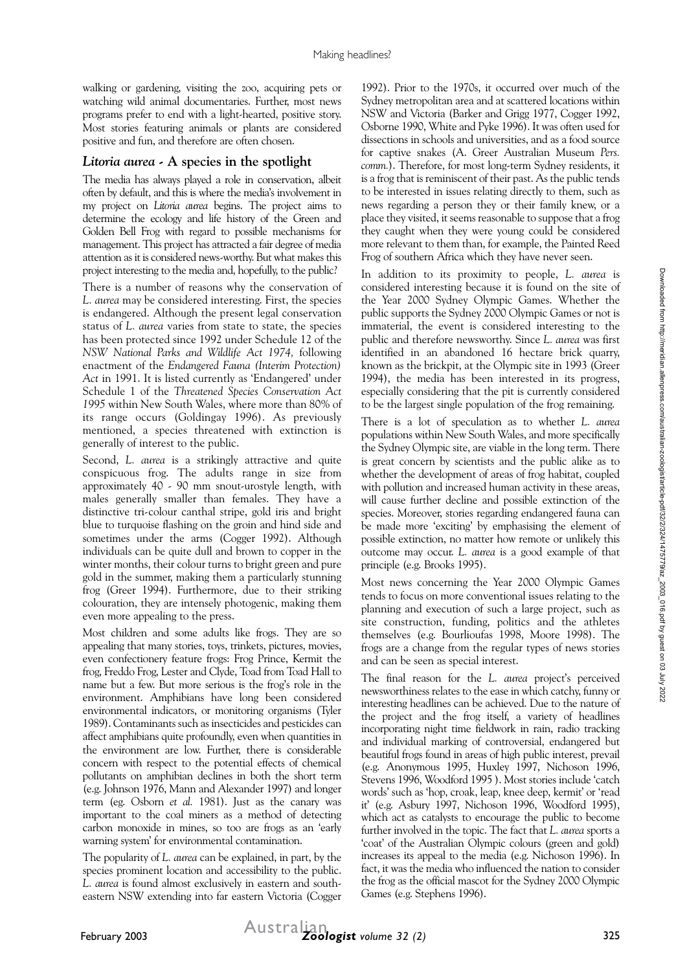walking or gardening, visiting the zoo, acquiring pets or watching wild animal documentaries. Further, most news programs prefer to end with a light-hearted, positive story. Most stories featuring animals or plants are considered positive and fun, and therefore are often chosen.

### *Litoria aurea* **- A species in the spotlight**

The media has always played a role in conservation, albeit often by default, and this is where the media's involvement in my project on *Litoria aurea* begins. The project aims to determine the ecology and life history of the Green and Golden Bell Frog with regard to possible mechanisms for management. This project has attracted a fair degree of media attention as it is considered news-worthy. But what makes this project interesting to the media and, hopefully, to the public?

There is a number of reasons why the conservation of *L. aurea* may be considered interesting. First, the species is endangered. Although the present legal conservation status of *L. aurea* varies from state to state, the species has been protected since 1992 under Schedule 12 of the *NSW National Parks and Wildlife Act 1974,* following enactment of the *Endangered Fauna (Interim Protection) Act* in 1991. It is listed currently as 'Endangered' under Schedule 1 of the *Threatened Species Conservation Act 1995* within New South Wales, where more than 80% of its range occurs (Goldingay 1996). As previously mentioned, a species threatened with extinction is generally of interest to the public.

Second, *L. aurea* is a strikingly attractive and quite conspicuous frog. The adults range in size from approximately 40 - 90 mm snout-urostyle length, with males generally smaller than females. They have a distinctive tri-colour canthal stripe, gold iris and bright blue to turquoise flashing on the groin and hind side and sometimes under the arms (Cogger 1992). Although individuals can be quite dull and brown to copper in the winter months, their colour turns to bright green and pure gold in the summer, making them a particularly stunning frog (Greer 1994). Furthermore, due to their striking colouration, they are intensely photogenic, making them even more appealing to the press.

Most children and some adults like frogs. They are so appealing that many stories, toys, trinkets, pictures, movies, even confectionery feature frogs: Frog Prince, Kermit the frog, Freddo Frog, Lester and Clyde, Toad from Toad Hall to name but a few. But more serious is the frog's role in the environment. Amphibians have long been considered environmental indicators, or monitoring organisms (Tyler 1989). Contaminants such as insecticides and pesticides can affect amphibians quite profoundly, even when quantities in the environment are low. Further, there is considerable concern with respect to the potential effects of chemical pollutants on amphibian declines in both the short term (e.g. Johnson 1976, Mann and Alexander 1997) and longer term (eg. Osborn *et al.* 1981). Just as the canary was important to the coal miners as a method of detecting carbon monoxide in mines, so too are frogs as an 'early warning system' for environmental contamination.

The popularity of *L. aurea* can be explained, in part, by the species prominent location and accessibility to the public. *L. aurea* is found almost exclusively in eastern and southeastern NSW extending into far eastern Victoria (Cogger

1992). Prior to the 1970s, it occurred over much of the Sydney metropolitan area and at scattered locations within NSW and Victoria (Barker and Grigg 1977, Cogger 1992, Osborne 1990, White and Pyke 1996). It was often used for dissections in schools and universities, and as a food source for captive snakes (A. Greer Australian Museum *Pers. comm.*). Therefore, for most long-term Sydney residents, it is a frog that is reminiscent of their past. As the public tends to be interested in issues relating directly to them, such as news regarding a person they or their family knew, or a place they visited, it seems reasonable to suppose that a frog they caught when they were young could be considered more relevant to them than, for example, the Painted Reed Frog of southern Africa which they have never seen.

In addition to its proximity to people, *L. aurea* is considered interesting because it is found on the site of the Year 2000 Sydney Olympic Games. Whether the public supports the Sydney 2000 Olympic Games or not is immaterial, the event is considered interesting to the public and therefore newsworthy. Since *L. aurea* was first identified in an abandoned 16 hectare brick quarry, known as the brickpit, at the Olympic site in 1993 (Greer 1994), the media has been interested in its progress, especially considering that the pit is currently considered to be the largest single population of the frog remaining.

There is a lot of speculation as to whether *L. aurea* populations within New South Wales, and more specifically the Sydney Olympic site, are viable in the long term. There is great concern by scientists and the public alike as to whether the development of areas of frog habitat, coupled with pollution and increased human activity in these areas, will cause further decline and possible extinction of the species. Moreover, stories regarding endangered fauna can be made more 'exciting' by emphasising the element of possible extinction, no matter how remote or unlikely this outcome may occur. *L. aurea* is a good example of that principle (e.g. Brooks 1995).

Most news concerning the Year 2000 Olympic Games tends to focus on more conventional issues relating to the planning and execution of such a large project, such as site construction, funding, politics and the athletes themselves (e.g. Bourlioufas 1998, Moore 1998). The frogs are a change from the regular types of news stories and can be seen as special interest.

The final reason for the *L. aurea* project's perceived newsworthiness relates to the ease in which catchy, funny or interesting headlines can be achieved. Due to the nature of the project and the frog itself, a variety of headlines incorporating night time fieldwork in rain, radio tracking and individual marking of controversial, endangered but beautiful frogs found in areas of high public interest, prevail (e.g. Anonymous 1995, Huxley 1997, Nichoson 1996, Stevens 1996, Woodford 1995 ). Most stories include 'catch words' such as 'hop, croak, leap, knee deep, kermit' or 'read it' (e.g. Asbury 1997, Nichoson 1996, Woodford 1995), which act as catalysts to encourage the public to become further involved in the topic. The fact that *L. aurea* sports a 'coat' of the Australian Olympic colours (green and gold) increases its appeal to the media (e.g. Nichoson 1996). In fact, it was the media who influenced the nation to consider the frog as the official mascot for the Sydney 2000 Olympic Games (e.g. Stephens 1996).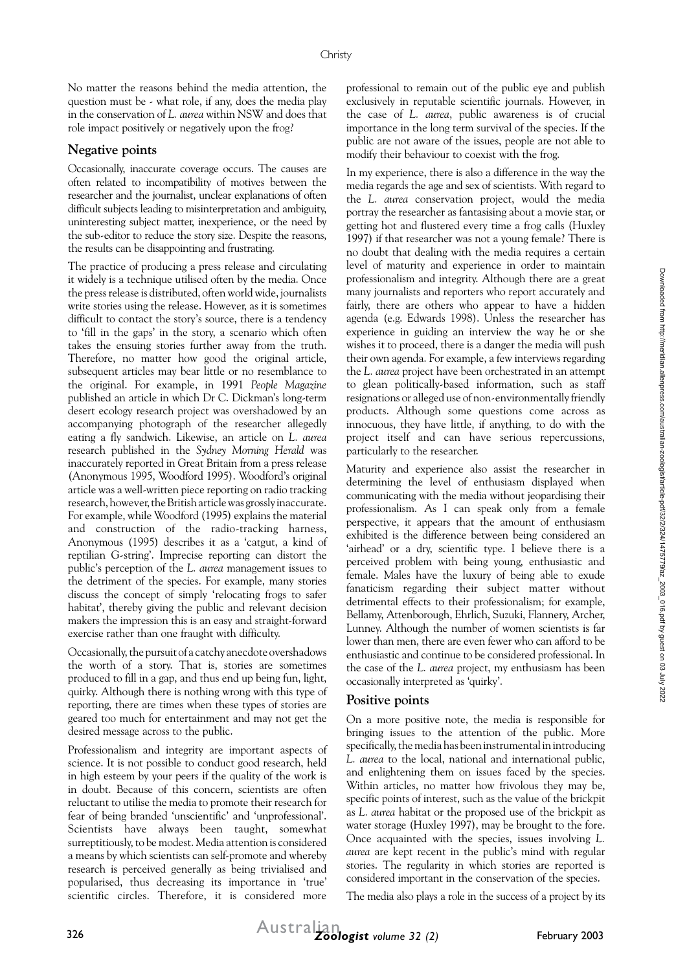No matter the reasons behind the media attention, the question must be - what role, if any, does the media play in the conservation of *L. aurea* within NSW and does that role impact positively or negatively upon the frog?

#### **Negative points**

Occasionally, inaccurate coverage occurs. The causes are often related to incompatibility of motives between the researcher and the journalist, unclear explanations of often difficult subjects leading to misinterpretation and ambiguity, uninteresting subject matter, inexperience, or the need by the sub-editor to reduce the story size. Despite the reasons, the results can be disappointing and frustrating.

The practice of producing a press release and circulating it widely is a technique utilised often by the media. Once the press release is distributed, often world wide, journalists write stories using the release. However, as it is sometimes difficult to contact the story's source, there is a tendency to 'fill in the gaps' in the story, a scenario which often takes the ensuing stories further away from the truth. Therefore, no matter how good the original article, subsequent articles may bear little or no resemblance to the original. For example, in 1991 *People Magazine* published an article in which Dr C. Dickman's long-term desert ecology research project was overshadowed by an accompanying photograph of the researcher allegedly eating a fly sandwich. Likewise, an article on *L. aurea* research published in the *Sydney Morning Herald* was inaccurately reported in Great Britain from a press release (Anonymous 1995, Woodford 1995). Woodford's original article was a well-written piece reporting on radio tracking research, however, the British article was grossly inaccurate. For example, while Woodford (1995) explains the material and construction of the radio-tracking harness, Anonymous (1995) describes it as a 'catgut, a kind of reptilian G-string'. Imprecise reporting can distort the public's perception of the *L. aurea* management issues to the detriment of the species. For example, many stories discuss the concept of simply 'relocating frogs to safer habitat', thereby giving the public and relevant decision makers the impression this is an easy and straight-forward exercise rather than one fraught with difficulty.

Occasionally, the pursuit of a catchy anecdote overshadows the worth of a story. That is, stories are sometimes produced to fill in a gap, and thus end up being fun, light, quirky. Although there is nothing wrong with this type of reporting, there are times when these types of stories are geared too much for entertainment and may not get the desired message across to the public.

Professionalism and integrity are important aspects of science. It is not possible to conduct good research, held in high esteem by your peers if the quality of the work is in doubt. Because of this concern, scientists are often reluctant to utilise the media to promote their research for fear of being branded 'unscientific' and 'unprofessional'. Scientists have always been taught, somewhat surreptitiously, to be modest. Media attention is considered a means by which scientists can self-promote and whereby research is perceived generally as being trivialised and popularised, thus decreasing its importance in 'true' scientific circles. Therefore, it is considered more

professional to remain out of the public eye and publish exclusively in reputable scientific journals. However, in the case of *L. aurea*, public awareness is of crucial importance in the long term survival of the species. If the public are not aware of the issues, people are not able to modify their behaviour to coexist with the frog.

In my experience, there is also a difference in the way the media regards the age and sex of scientists. With regard to the *L. aurea* conservation project, would the media portray the researcher as fantasising about a movie star, or getting hot and flustered every time a frog calls (Huxley 1997) if that researcher was not a young female? There is no doubt that dealing with the media requires a certain level of maturity and experience in order to maintain professionalism and integrity. Although there are a great many journalists and reporters who report accurately and fairly, there are others who appear to have a hidden agenda (e.g. Edwards 1998). Unless the researcher has experience in guiding an interview the way he or she wishes it to proceed, there is a danger the media will push their own agenda. For example, a few interviews regarding the *L. aurea* project have been orchestrated in an attempt to glean politically-based information, such as staff resignations or alleged use of non-environmentally friendly products. Although some questions come across as innocuous, they have little, if anything, to do with the project itself and can have serious repercussions, particularly to the researcher.

Maturity and experience also assist the researcher in determining the level of enthusiasm displayed when communicating with the media without jeopardising their professionalism. As I can speak only from a female perspective, it appears that the amount of enthusiasm exhibited is the difference between being considered an 'airhead' or a dry, scientific type. I believe there is a perceived problem with being young, enthusiastic and female. Males have the luxury of being able to exude fanaticism regarding their subject matter without detrimental effects to their professionalism; for example, Bellamy, Attenborough, Ehrlich, Suzuki, Flannery, Archer, Lunney. Although the number of women scientists is far lower than men, there are even fewer who can afford to be enthusiastic and continue to be considered professional. In the case of the *L. aurea* project, my enthusiasm has been occasionally interpreted as 'quirky'.

#### **Positive points**

On a more positive note, the media is responsible for bringing issues to the attention of the public. More specifically, the media has been instrumental in introducing *L. aurea* to the local, national and international public, and enlightening them on issues faced by the species. Within articles, no matter how frivolous they may be, specific points of interest, such as the value of the brickpit as *L. aurea* habitat or the proposed use of the brickpit as water storage (Huxley 1997), may be brought to the fore. Once acquainted with the species, issues involving *L. aurea* are kept recent in the public's mind with regular stories. The regularity in which stories are reported is considered important in the conservation of the species.

The media also plays a role in the success of a project by its

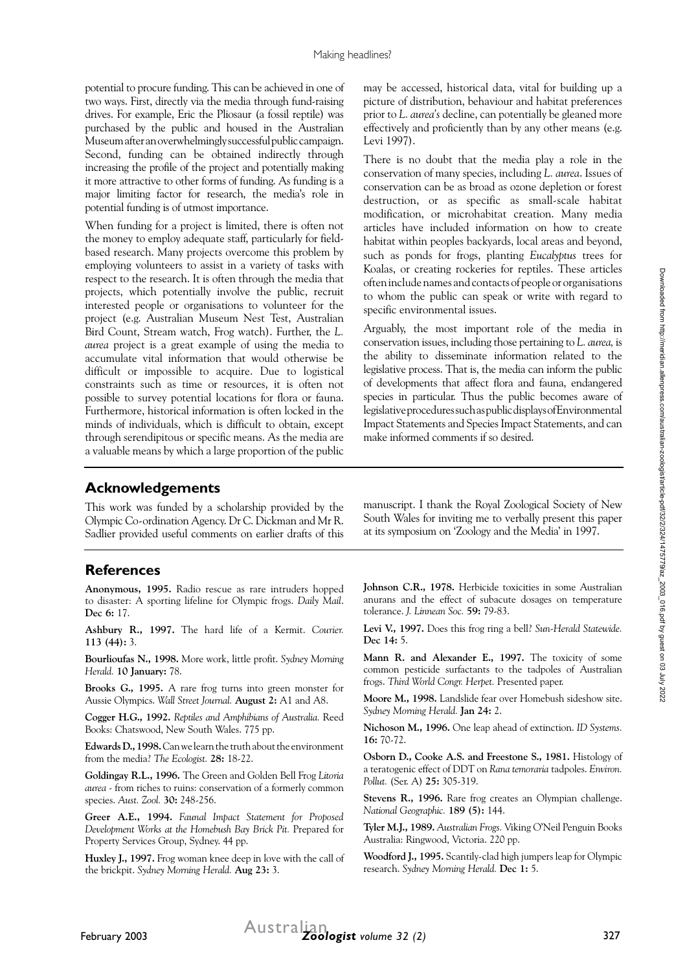potential to procure funding. This can be achieved in one of two ways. First, directly via the media through fund-raising drives. For example, Eric the Pliosaur (a fossil reptile) was purchased by the public and housed in the Australian Museum after an overwhelmingly successful public campaign. Second, funding can be obtained indirectly through increasing the profile of the project and potentially making it more attractive to other forms of funding. As funding is a major limiting factor for research, the media's role in potential funding is of utmost importance.

When funding for a project is limited, there is often not the money to employ adequate staff, particularly for fieldbased research. Many projects overcome this problem by employing volunteers to assist in a variety of tasks with respect to the research. It is often through the media that projects, which potentially involve the public, recruit interested people or organisations to volunteer for the project (e.g. Australian Museum Nest Test, Australian Bird Count, Stream watch, Frog watch). Further, the *L. aurea* project is a great example of using the media to accumulate vital information that would otherwise be difficult or impossible to acquire. Due to logistical constraints such as time or resources, it is often not possible to survey potential locations for flora or fauna. Furthermore, historical information is often locked in the minds of individuals, which is difficult to obtain, except through serendipitous or specific means. As the media are a valuable means by which a large proportion of the public

may be accessed, historical data, vital for building up a picture of distribution, behaviour and habitat preferences prior to *L. aurea's* decline, can potentially be gleaned more effectively and proficiently than by any other means (e.g. Levi 1997).

There is no doubt that the media play a role in the conservation of many species, including *L. aurea*. Issues of conservation can be as broad as ozone depletion or forest destruction, or as specific as small-scale habitat modification, or microhabitat creation. Many media articles have included information on how to create habitat within peoples backyards, local areas and beyond, such as ponds for frogs, planting *Eucalyptus* trees for Koalas, or creating rockeries for reptiles. These articles often include names and contacts of people or organisations to whom the public can speak or write with regard to specific environmental issues.

Arguably, the most important role of the media in conservation issues, including those pertaining to *L. aurea,* is the ability to disseminate information related to the legislative process. That is, the media can inform the public of developments that affect flora and fauna, endangered species in particular. Thus the public becomes aware of legislative procedures such as public displays of Environmental Impact Statements and Species Impact Statements, and can make informed comments if so desired.

## **Acknowledgements**

This work was funded by a scholarship provided by the Olympic Co-ordination Agency. Dr C. Dickman and Mr R. Sadlier provided useful comments on earlier drafts of this

## **References**

**Anonymous, 1995.** Radio rescue as rare intruders hopped to disaster: A sporting lifeline for Olympic frogs. *Daily Mail*. **Dec 6:** 17.

**Ashbury R., 1997.** The hard life of a Kermit. *Courier.* **113 (44):** 3.

**Bourlioufas N., 1998.** More work, little profit. *Sydney Morning Herald.* **10 January:** 78.

**Brooks G., 1995.** A rare frog turns into green monster for Aussie Olympics. *Wall Street Journal.* **August 2:** A1 and A8.

**Cogger H.G., 1992.** *Reptiles and Amphibians of Australia.* Reed Books: Chatswood, New South Wales. 775 pp.

**Edwards D., 1998.** Can we learn the truth about the environment from the media? *The Ecologist.* **28:** 18-22.

**Goldingay R.L., 1996.** The Green and Golden Bell Frog *Litoria aurea -* from riches to ruins: conservation of a formerly common species. *Aust. Zool.* **30:** 248-256.

**Greer A.E., 1994.** *Faunal Impact Statement for Proposed Development Works at the Homebush Bay Brick Pit.* Prepared for Property Services Group, Sydney. 44 pp.

**Huxley J., 1997.** Frog woman knee deep in love with the call of the brickpit. *Sydney Morning Herald.* **Aug 23:** 3.

manuscript. I thank the Royal Zoological Society of New South Wales for inviting me to verbally present this paper at its symposium on 'Zoology and the Media' in 1997.

**Johnson C.R., 1978.** Herbicide toxicities in some Australian anurans and the effect of subacute dosages on temperature tolerance. *J. Linnean Soc.* **59:** 79-83.

**Levi V., 1997.** Does this frog ring a bell? *Sun-Herald Statewide.* **Dec 14:** 5.

Mann R. and Alexander E., 1997. The toxicity of some common pesticide surfactants to the tadpoles of Australian frogs. *Third World Congr. Herpet.* Presented paper.

**Moore M., 1998.** Landslide fear over Homebush sideshow site. *Sydney Morning Herald.* **Jan 24:** 2.

**Nichoson M., 1996.** One leap ahead of extinction. *ID Systems.* **16:** 70-72.

**Osborn D., Cooke A.S. and Freestone S., 1981.** Histology of a teratogenic effect of DDT on *Rana temoraria* tadpoles. *Environ. Pollut.* (Ser. A) **25:** 305-319.

**Stevens R., 1996.** Rare frog creates an Olympian challenge. *National Geographic.* **189 (5):** 144.

**Tyler M.J., 1989.** *Australian Frogs.* Viking O'Neil Penguin Books Australia: Ringwood, Victoria. 220 pp.

**Woodford J., 1995.** Scantily-clad high jumpers leap for Olympic research. *Sydney Morning Herald.* **Dec 1:** 5.